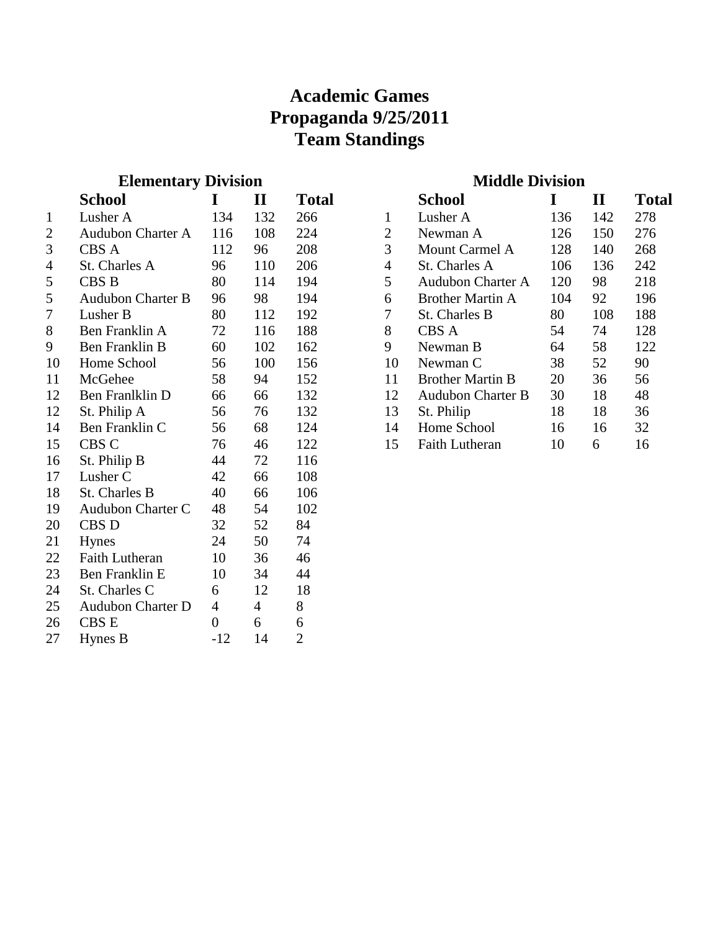### **Academic Games Propaganda 9/25/2011 Team Standings**

#### **Elementary Division**

|                | School                   | I              | $\mathbf{I}\mathbf{I}$ | Total          |
|----------------|--------------------------|----------------|------------------------|----------------|
| 1              | Lusher A                 | 134            | 132                    | 266            |
| $\overline{2}$ | <b>Audubon Charter A</b> | 116            | 108                    | 224            |
| 3              | CBS A                    | 112            | 96                     | 208            |
| $\overline{4}$ | St. Charles A            | 96             | 110                    | 206            |
| 5              | CBS B                    | 80             | 114                    | 194            |
| 5              | <b>Audubon Charter B</b> | 96             | 98                     | 194            |
| $\overline{7}$ | Lusher B                 | 80             | 112                    | 192            |
| 8              | Ben Franklin A           | 72             | 116                    | 188            |
| 9              | <b>Ben Franklin B</b>    | 60             | 102                    | 162            |
| 10             | Home School              | 56             | 100                    | 156            |
| 11             | McGehee                  | 58             | 94                     | 152            |
| 12             | Ben Franlklin D          | 66             | 66                     | 132            |
| 12             | St. Philip A             | 56             | 76                     | 132            |
| 14             | Ben Franklin C           | 56             | 68                     | 124            |
| 15             | CBS C                    | 76             | 46                     | 122            |
| 16             | St. Philip B             | 44             | 72                     | 116            |
| 17             | Lusher <sub>C</sub>      | 42             | 66                     | 108            |
| 18             | St. Charles B            | 40             | 66                     | 106            |
| 19             | Audubon Charter C        | 48             | 54                     | 102            |
| 20             | CBS D                    | 32             | 52                     | 84             |
| 21             | <b>Hynes</b>             | 24             | 50                     | 74             |
| 22             | <b>Faith Lutheran</b>    | 10             | 36                     | 46             |
| 23             | Ben Franklin E           | 10             | 34                     | 44             |
| 24             | St. Charles C            | 6              | 12                     | 18             |
| 25             | <b>Audubon Charter D</b> | $\overline{4}$ | $\overline{4}$         | 8              |
| 26             | <b>CBSE</b>              | $\overline{0}$ | 6                      | 6              |
| 27             | Hynes B                  | $-12$          | 14                     | $\overline{2}$ |
|                |                          |                |                        |                |

#### **Middle Division**

|    | <b>School</b>            |     | H   | <b>Total</b> |
|----|--------------------------|-----|-----|--------------|
| 1  | Lusher A                 | 136 | 142 | 278          |
| 2  | Newman A                 | 126 | 150 | 276          |
| 3  | <b>Mount Carmel A</b>    | 128 | 140 | 268          |
| 4  | St. Charles A            | 106 | 136 | 242          |
| 5  | <b>Audubon Charter A</b> | 120 | 98  | 218          |
| 6  | <b>Brother Martin A</b>  | 104 | 92  | 196          |
| 7  | St. Charles B            | 80  | 108 | 188          |
| 8  | CBS A                    | 54  | 74  | 128          |
| 9  | Newman B                 | 64  | 58  | 122          |
| 10 | Newman C                 | 38  | 52  | 90           |
| 11 | <b>Brother Martin B</b>  | 20  | 36  | 56           |
| 12 | <b>Audubon Charter B</b> | 30  | 18  | 48           |
| 13 | St. Philip               | 18  | 18  | 36           |
| 14 | Home School              | 16  | 16  | 32           |
| 15 | <b>Faith Lutheran</b>    | 10  | 6   | 16           |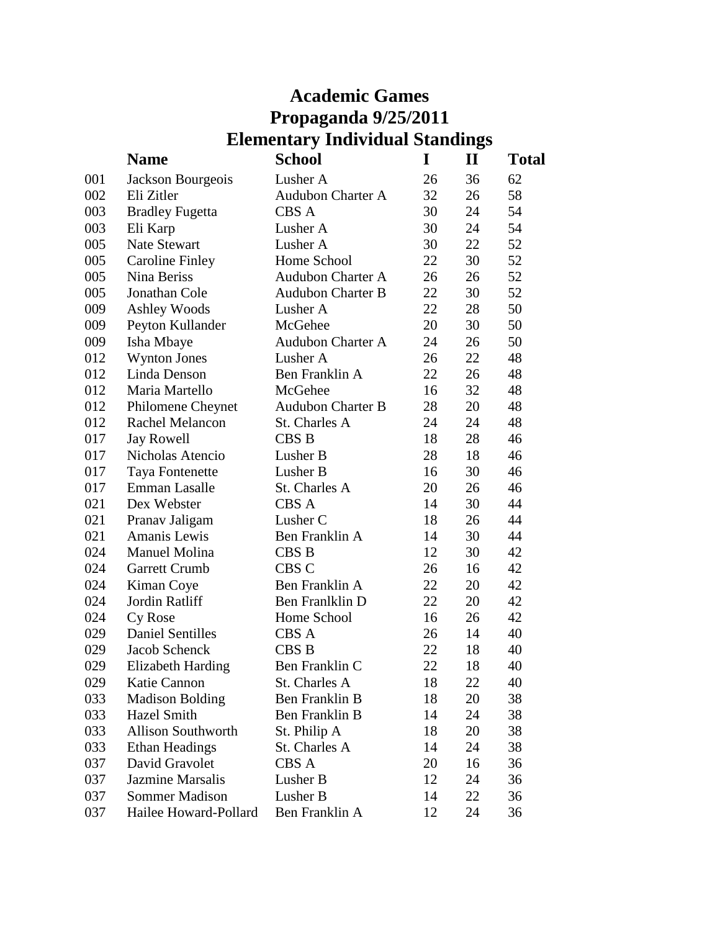## **Academic Games Propaganda 9/25/2011 Elementary Individual Standings**

|     | <b>Name</b>               | School                   | I  | $\mathbf H$ | <b>Total</b> |
|-----|---------------------------|--------------------------|----|-------------|--------------|
| 001 | Jackson Bourgeois         | Lusher A                 | 26 | 36          | 62           |
| 002 | Eli Zitler                | <b>Audubon Charter A</b> | 32 | 26          | 58           |
| 003 | <b>Bradley Fugetta</b>    | CBS A                    | 30 | 24          | 54           |
| 003 | Eli Karp                  | Lusher A                 | 30 | 24          | 54           |
| 005 | <b>Nate Stewart</b>       | Lusher A                 | 30 | 22          | 52           |
| 005 | <b>Caroline Finley</b>    | Home School              | 22 | 30          | 52           |
| 005 | Nina Beriss               | <b>Audubon Charter A</b> | 26 | 26          | 52           |
| 005 | Jonathan Cole             | <b>Audubon Charter B</b> | 22 | 30          | 52           |
| 009 | <b>Ashley Woods</b>       | Lusher A                 | 22 | 28          | 50           |
| 009 | Peyton Kullander          | McGehee                  | 20 | 30          | 50           |
| 009 | Isha Mbaye                | <b>Audubon Charter A</b> | 24 | 26          | 50           |
| 012 | <b>Wynton Jones</b>       | Lusher A                 | 26 | 22          | 48           |
| 012 | Linda Denson              | Ben Franklin A           | 22 | 26          | 48           |
| 012 | Maria Martello            | McGehee                  | 16 | 32          | 48           |
| 012 | Philomene Cheynet         | <b>Audubon Charter B</b> | 28 | 20          | 48           |
| 012 | <b>Rachel Melancon</b>    | St. Charles A            | 24 | 24          | 48           |
| 017 | <b>Jay Rowell</b>         | <b>CBS B</b>             | 18 | 28          | 46           |
| 017 | Nicholas Atencio          | Lusher B                 | 28 | 18          | 46           |
| 017 | Taya Fontenette           | Lusher B                 | 16 | 30          | 46           |
| 017 | <b>Emman Lasalle</b>      | St. Charles A            | 20 | 26          | 46           |
| 021 | Dex Webster               | <b>CBS A</b>             | 14 | 30          | 44           |
| 021 | Pranav Jaligam            | Lusher C                 | 18 | 26          | 44           |
| 021 | Amanis Lewis              | Ben Franklin A           | 14 | 30          | 44           |
| 024 | <b>Manuel Molina</b>      | <b>CBS B</b>             | 12 | 30          | 42           |
| 024 | Garrett Crumb             | CBS C                    | 26 | 16          | 42           |
| 024 | Kiman Coye                | Ben Franklin A           | 22 | 20          | 42           |
| 024 | Jordin Ratliff            | Ben Franlklin D          | 22 | 20          | 42           |
| 024 | Cy Rose                   | Home School              | 16 | 26          | 42           |
| 029 | <b>Daniel Sentilles</b>   | CBS A                    | 26 | 14          | 40           |
| 029 | Jacob Schenck             | CBS <sub>B</sub>         | 22 | 18          | 40           |
| 029 | <b>Elizabeth Harding</b>  | Ben Franklin C           | 22 | 18          | 40           |
| 029 | Katie Cannon              | St. Charles A            | 18 | 22          | 40           |
| 033 | <b>Madison Bolding</b>    | Ben Franklin B           | 18 | 20          | 38           |
| 033 | Hazel Smith               | Ben Franklin B           | 14 | 24          | 38           |
| 033 | <b>Allison Southworth</b> | St. Philip A             | 18 | 20          | 38           |
| 033 | <b>Ethan Headings</b>     | St. Charles A            | 14 | 24          | 38           |
| 037 | David Gravolet            | CBS A                    | 20 | 16          | 36           |
| 037 | <b>Jazmine Marsalis</b>   | Lusher B                 | 12 | 24          | 36           |
| 037 | <b>Sommer Madison</b>     | Lusher B                 | 14 | 22          | 36           |
| 037 | Hailee Howard-Pollard     | Ben Franklin A           | 12 | 24          | 36           |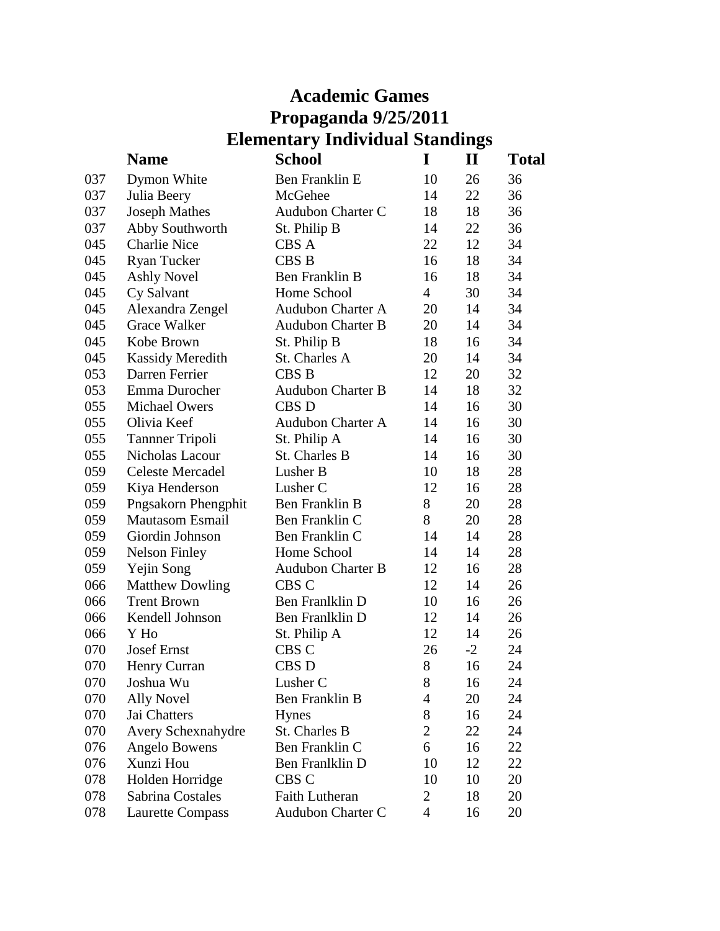# **Academic Games Propaganda 9/25/2011 Elementary Individual Standings**

|     | <b>Name</b>             | <b>School</b>            | I                        | $\mathbf{I}$ | Total |
|-----|-------------------------|--------------------------|--------------------------|--------------|-------|
| 037 | Dymon White             | Ben Franklin E           | 10                       | 26           | 36    |
| 037 | Julia Beery             | McGehee                  | 14                       | 22           | 36    |
| 037 | <b>Joseph Mathes</b>    | <b>Audubon Charter C</b> | 18                       | 18           | 36    |
| 037 | Abby Southworth         | St. Philip B             | 14                       | 22           | 36    |
| 045 | <b>Charlie Nice</b>     | CBS A                    | 22                       | 12           | 34    |
| 045 | <b>Ryan Tucker</b>      | <b>CBS B</b>             | 16                       | 18           | 34    |
| 045 | <b>Ashly Novel</b>      | Ben Franklin B           | 16                       | 18           | 34    |
| 045 | Cy Salvant              | Home School              | $\overline{4}$           | 30           | 34    |
| 045 | Alexandra Zengel        | <b>Audubon Charter A</b> | 20                       | 14           | 34    |
| 045 | <b>Grace Walker</b>     | <b>Audubon Charter B</b> | 20                       | 14           | 34    |
| 045 | Kobe Brown              | St. Philip B             | 18                       | 16           | 34    |
| 045 | <b>Kassidy Meredith</b> | St. Charles A            | 20                       | 14           | 34    |
| 053 | Darren Ferrier          | CBS <sub>B</sub>         | 12                       | 20           | 32    |
| 053 | Emma Durocher           | <b>Audubon Charter B</b> | 14                       | 18           | 32    |
| 055 | <b>Michael Owers</b>    | <b>CBSD</b>              | 14                       | 16           | 30    |
| 055 | Olivia Keef             | <b>Audubon Charter A</b> | 14                       | 16           | 30    |
| 055 | <b>Tanner Tripoli</b>   | St. Philip A             | 14                       | 16           | 30    |
| 055 | Nicholas Lacour         | St. Charles B            | 14                       | 16           | 30    |
| 059 | <b>Celeste Mercadel</b> | Lusher B                 | 10                       | 18           | 28    |
| 059 | Kiya Henderson          | Lusher C                 | 12                       | 16           | 28    |
| 059 | Pngsakorn Phengphit     | Ben Franklin B           | 8                        | 20           | 28    |
| 059 | <b>Mautasom Esmail</b>  | Ben Franklin C           | 8                        | 20           | 28    |
| 059 | Giordin Johnson         | Ben Franklin C           | 14                       | 14           | 28    |
| 059 | <b>Nelson Finley</b>    | Home School              | 14                       | 14           | 28    |
| 059 | Yejin Song              | <b>Audubon Charter B</b> | 12                       | 16           | 28    |
| 066 | <b>Matthew Dowling</b>  | CBS C                    | 12                       | 14           | 26    |
| 066 | <b>Trent Brown</b>      | Ben Franlklin D          | 10                       | 16           | 26    |
| 066 | Kendell Johnson         | Ben Franlklin D          | 12                       | 14           | 26    |
| 066 | Y Ho                    | St. Philip A             | 12                       | 14           | 26    |
| 070 | <b>Josef Ernst</b>      | CBS C                    | 26                       | $-2$         | 24    |
| 070 | Henry Curran            | CBS D                    | 8                        | 16           | 24    |
| 070 | Joshua Wu               | Lusher C                 | 8                        | 16           | 24    |
| 070 | <b>Ally Novel</b>       | Ben Franklin B           | 4                        | 20           | 24    |
| 070 | Jai Chatters            | Hynes                    | 8                        | 16           | 24    |
| 070 | Avery Schexnahydre      | St. Charles B            | $\overline{c}$           | 22           | 24    |
| 076 | Angelo Bowens           | Ben Franklin C           | 6                        | 16           | 22    |
| 076 | Xunzi Hou               | Ben Franlklin D          | 10                       | 12           | 22    |
| 078 | Holden Horridge         | CBS C                    | 10                       | 10           | 20    |
| 078 | Sabrina Costales        | <b>Faith Lutheran</b>    | 2                        | 18           | 20    |
| 078 | <b>Laurette Compass</b> | Audubon Charter C        | $\overline{\mathcal{A}}$ | 16           | 20    |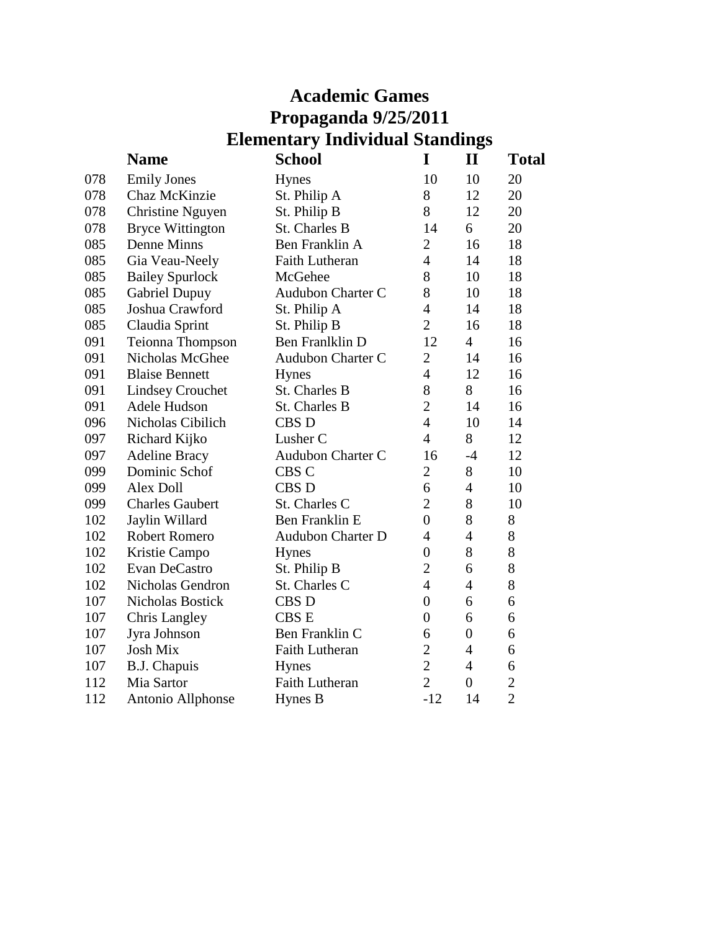# **Academic Games Propaganda 9/25/2011 Elementary Individual Standings**

|     | <b>Name</b>             | <b>School</b>            | I                | $\mathbf{I}$   | <b>Total</b>   |
|-----|-------------------------|--------------------------|------------------|----------------|----------------|
| 078 | <b>Emily Jones</b>      | Hynes                    | 10               | 10             | 20             |
| 078 | Chaz McKinzie           | St. Philip A             | 8                | 12             | 20             |
| 078 | <b>Christine Nguyen</b> | St. Philip B             | 8                | 12             | 20             |
| 078 | <b>Bryce Wittington</b> | St. Charles B            | 14               | 6              | 20             |
| 085 | Denne Minns             | Ben Franklin A           | $\overline{2}$   | 16             | 18             |
| 085 | Gia Veau-Neely          | <b>Faith Lutheran</b>    | $\overline{4}$   | 14             | 18             |
| 085 | <b>Bailey Spurlock</b>  | McGehee                  | 8                | 10             | 18             |
| 085 | Gabriel Dupuy           | <b>Audubon Charter C</b> | 8                | 10             | 18             |
| 085 | Joshua Crawford         | St. Philip A             | $\overline{4}$   | 14             | 18             |
| 085 | Claudia Sprint          | St. Philip B             | $\overline{2}$   | 16             | 18             |
| 091 | Teionna Thompson        | Ben Franlklin D          | 12               | $\overline{4}$ | 16             |
| 091 | Nicholas McGhee         | Audubon Charter C        | $\overline{2}$   | 14             | 16             |
| 091 | <b>Blaise Bennett</b>   | <b>Hynes</b>             | $\overline{4}$   | 12             | 16             |
| 091 | <b>Lindsey Crouchet</b> | St. Charles B            | 8                | 8              | 16             |
| 091 | Adele Hudson            | St. Charles B            | $\overline{2}$   | 14             | 16             |
| 096 | Nicholas Cibilich       | CBS <sub>D</sub>         | $\overline{4}$   | 10             | 14             |
| 097 | Richard Kijko           | Lusher <sub>C</sub>      | $\overline{4}$   | 8              | 12             |
| 097 | <b>Adeline Bracy</b>    | Audubon Charter C        | 16               | $-4$           | 12             |
| 099 | Dominic Schof           | CBS <sub>C</sub>         | $\overline{2}$   | 8              | 10             |
| 099 | <b>Alex Doll</b>        | <b>CBSD</b>              | 6                | $\overline{4}$ | 10             |
| 099 | <b>Charles Gaubert</b>  | St. Charles C            | $\overline{2}$   | 8              | 10             |
| 102 | Jaylin Willard          | Ben Franklin E           | $\overline{0}$   | 8              | 8              |
| 102 | <b>Robert Romero</b>    | <b>Audubon Charter D</b> | $\overline{4}$   | $\overline{4}$ | $8\,$          |
| 102 | Kristie Campo           | <b>Hynes</b>             | $\boldsymbol{0}$ | 8              | 8              |
| 102 | Evan DeCastro           | St. Philip B             | $\overline{2}$   | 6              | 8              |
| 102 | Nicholas Gendron        | St. Charles C            | $\overline{4}$   | $\overline{4}$ | 8              |
| 107 | <b>Nicholas Bostick</b> | <b>CBS D</b>             | $\overline{0}$   | 6              | 6              |
| 107 | <b>Chris Langley</b>    | <b>CBS E</b>             | $\overline{0}$   | 6              | 6              |
| 107 | Jyra Johnson            | Ben Franklin C           | 6                | $\overline{0}$ | 6              |
| 107 | <b>Josh Mix</b>         | <b>Faith Lutheran</b>    | $\overline{2}$   | $\overline{4}$ | 6              |
| 107 | <b>B.J. Chapuis</b>     | <b>Hynes</b>             | $\overline{2}$   | $\overline{4}$ | 6              |
| 112 | Mia Sartor              | <b>Faith Lutheran</b>    | $\overline{2}$   | $\overline{0}$ | $\overline{c}$ |
| 112 | Antonio Allphonse       | Hynes B                  | $-12$            | 14             | $\overline{2}$ |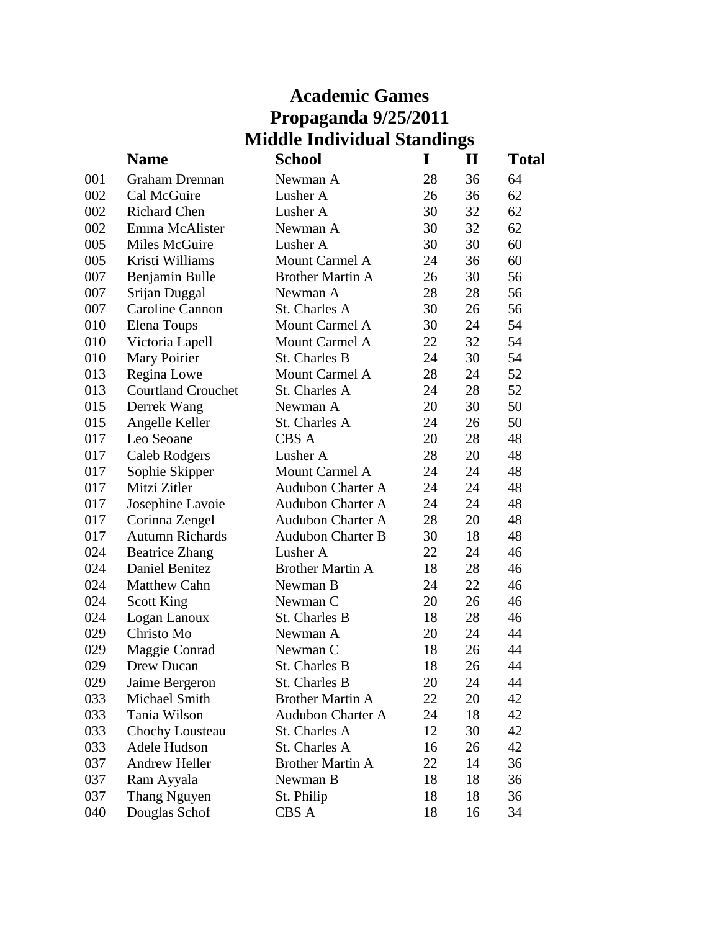|     | <b>Academic Games</b>     |                                    |    |             |              |
|-----|---------------------------|------------------------------------|----|-------------|--------------|
|     | Propaganda 9/25/2011      |                                    |    |             |              |
|     |                           | <b>Middle Individual Standings</b> |    |             |              |
|     | <b>Name</b>               | <b>School</b>                      | I  | $\mathbf H$ | <b>Total</b> |
| 001 | <b>Graham Drennan</b>     | Newman A                           | 28 | 36          | 64           |
| 002 | Cal McGuire               | Lusher A                           | 26 | 36          | 62           |
| 002 | <b>Richard Chen</b>       | Lusher A                           | 30 | 32          | 62           |
| 002 | Emma McAlister            | Newman A                           | 30 | 32          | 62           |
| 005 | Miles McGuire             | Lusher A                           | 30 | 30          | 60           |
| 005 | Kristi Williams           | Mount Carmel A                     | 24 | 36          | 60           |
| 007 | Benjamin Bulle            | <b>Brother Martin A</b>            | 26 | 30          | 56           |
| 007 | Srijan Duggal             | Newman A                           | 28 | 28          | 56           |
| 007 | Caroline Cannon           | St. Charles A                      | 30 | 26          | 56           |
| 010 | <b>Elena Toups</b>        | Mount Carmel A                     | 30 | 24          | 54           |
| 010 | Victoria Lapell           | Mount Carmel A                     | 22 | 32          | 54           |
| 010 | Mary Poirier              | St. Charles B                      | 24 | 30          | 54           |
| 013 | Regina Lowe               | Mount Carmel A                     | 28 | 24          | 52           |
| 013 | <b>Courtland Crouchet</b> | St. Charles A                      | 24 | 28          | 52           |
| 015 | Derrek Wang               | Newman A                           | 20 | 30          | 50           |
| 015 | Angelle Keller            | St. Charles A                      | 24 | 26          | 50           |
| 017 | Leo Seoane                | CBS A                              | 20 | 28          | 48           |
| 017 | Caleb Rodgers             | Lusher A                           | 28 | 20          | 48           |
| 017 | Sophie Skipper            | Mount Carmel A                     | 24 | 24          | 48           |
| 017 | Mitzi Zitler              | <b>Audubon Charter A</b>           | 24 | 24          | 48           |
| 017 | Josephine Lavoie          | <b>Audubon Charter A</b>           | 24 | 24          | 48           |
| 017 | Corinna Zengel            | <b>Audubon Charter A</b>           | 28 | 20          | 48           |
| 017 | <b>Autumn Richards</b>    | <b>Audubon Charter B</b>           | 30 | 18          | 48           |
| 024 | <b>Beatrice Zhang</b>     | Lusher A                           | 22 | 24          | 46           |
| 024 | <b>Daniel Benitez</b>     | <b>Brother Martin A</b>            | 18 | 28          | 46           |
| 024 | <b>Matthew Cahn</b>       | Newman B                           | 24 | 22          | 46           |
| 024 | <b>Scott King</b>         | Newman C                           | 20 | 26          | 46           |
| 024 | Logan Lanoux              | St. Charles B                      | 18 | 28          | 46           |
| 029 | Christo Mo                | Newman A                           | 20 | 24          | 44           |
| 029 | Maggie Conrad             | Newman C                           | 18 | 26          | 44           |
| 029 | Drew Ducan                | St. Charles B                      | 18 | 26          | 44           |
| 029 | Jaime Bergeron            | St. Charles B                      | 20 | 24          | 44           |
| 033 | Michael Smith             | <b>Brother Martin A</b>            | 22 | 20          | 42           |
| 033 | Tania Wilson              | <b>Audubon Charter A</b>           | 24 | 18          | 42           |
| 033 | Chochy Lousteau           | St. Charles A                      | 12 | 30          | 42           |
| 033 | Adele Hudson              | St. Charles A                      | 16 | 26          | 42           |
| 037 | <b>Andrew Heller</b>      | <b>Brother Martin A</b>            | 22 | 14          | 36           |
| 037 | Ram Ayyala                | Newman B                           | 18 | 18          | 36           |

037 Thang Nguyen St. Philip 18 18 36 040 Douglas Schof CBS A 18 16 34

Ram Ayyala